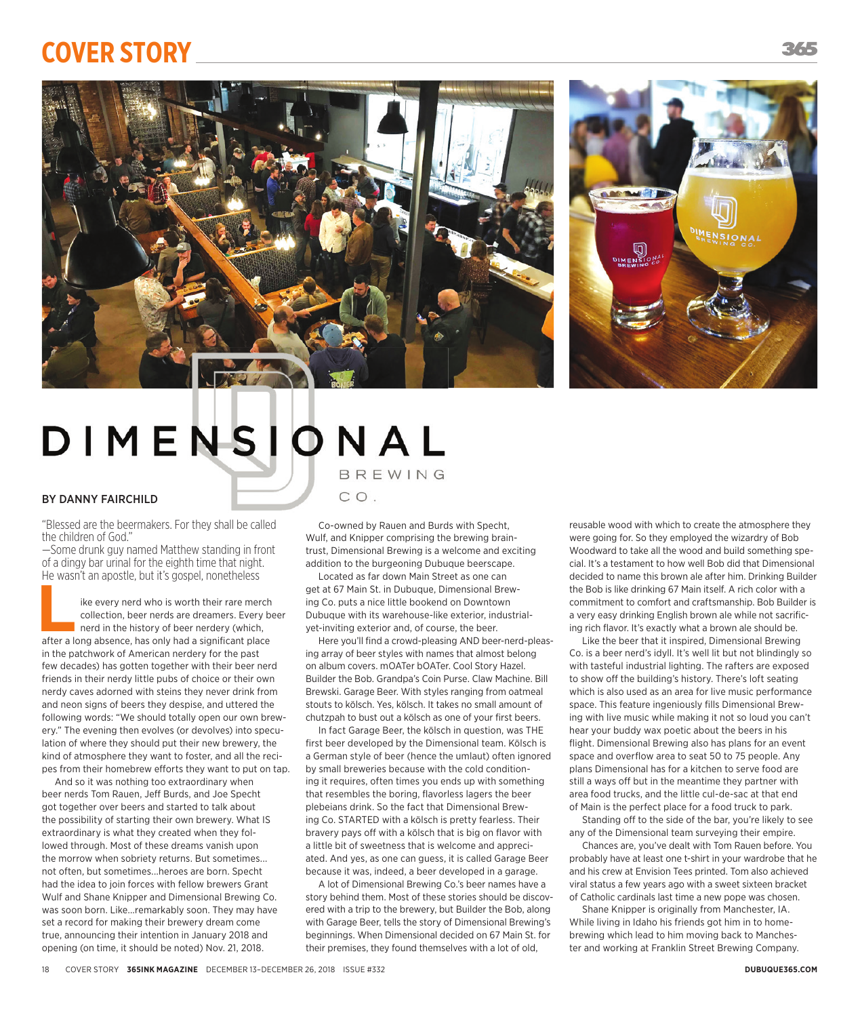## **CoVer Story**





## DIMENSIONAL BREWING

## BY DANNY FAIRCHILD

"Blessed are the beermakers. For they shall be called the children of God."

—Some drunk guy named Matthew standing in front of a dingy bar urinal for the eighth time that night. He wasn't an apostle, but it's gospel, nonetheless

**Like every nerd who is worth their rare merch collection, beer nerds are dreamers. Every been nerd in the history of beer nerdery (which, after a long absence, has only had a significant place** collection, beer nerds are dreamers. Every beer nerd in the history of beer nerdery (which, in the patchwork of American nerdery for the past few decades) has gotten together with their beer nerd friends in their nerdy little pubs of choice or their own nerdy caves adorned with steins they never drink from and neon signs of beers they despise, and uttered the following words: "We should totally open our own brewery." The evening then evolves (or devolves) into speculation of where they should put their new brewery, the kind of atmosphere they want to foster, and all the recipes from their homebrew efforts they want to put on tap.

And so it was nothing too extraordinary when beer nerds Tom Rauen, Jeff Burds, and Joe Specht got together over beers and started to talk about the possibility of starting their own brewery. What IS extraordinary is what they created when they followed through. Most of these dreams vanish upon the morrow when sobriety returns. But sometimes... not often, but sometimes...heroes are born. Specht had the idea to join forces with fellow brewers Grant Wulf and Shane Knipper and Dimensional Brewing Co. was soon born. Like...remarkably soon. They may have set a record for making their brewery dream come true, announcing their intention in January 2018 and opening (on time, it should be noted) Nov. 21, 2018.

CO.

Co-owned by Rauen and Burds with Specht, Wulf, and Knipper comprising the brewing braintrust, Dimensional brewing is a welcome and exciting addition to the burgeoning Dubuque beerscape.

Located as far down main Street as one can get at 67 Main St. in Dubuque, Dimensional Brewing co. puts a nice little bookend on Downtown Dubuque with its warehouse-like exterior, industrialyet-inviting exterior and, of course, the beer.

Here you'll find a crowd-pleasing AND beer-nerd-pleasing array of beer styles with names that almost belong on album covers. mOATer bOATer. Cool Story Hazel. builder the bob. Grandpa's coin Purse. claw machine. bill brewski. Garage beer. With styles ranging from oatmeal stouts to kölsch. yes, kölsch. It takes no small amount of chutzpah to bust out a kölsch as one of your first beers.

In fact Garage Beer, the kölsch in question, was THE first beer developed by the Dimensional team. Kölsch is a German style of beer (hence the umlaut) often ignored by small breweries because with the cold conditioning it requires, often times you ends up with something that resembles the boring, flavorless lagers the beer plebeians drink. So the fact that Dimensional Brewing Co. STARTED with a kölsch is pretty fearless. Their bravery pays off with a kölsch that is big on flavor with a little bit of sweetness that is welcome and appreciated. And yes, as one can guess, it is called Garage Beer because it was, indeed, a beer developed in a garage.

A lot of Dimensional Brewing Co.'s beer names have a story behind them. most of these stories should be discovered with a trip to the brewery, but Builder the Bob, along with Garage Beer, tells the story of Dimensional Brewing's beginnings. When Dimensional decided on 67 main St. for their premises, they found themselves with a lot of old,

reusable wood with which to create the atmosphere they were going for. So they employed the wizardry of Bob Woodward to take all the wood and build something special. It's a testament to how well Bob did that Dimensional decided to name this brown ale after him. Drinking Builder the Bob is like drinking 67 Main itself. A rich color with a commitment to comfort and craftsmanship. Bob Builder is a very easy drinking English brown ale while not sacrificing rich flavor. It's exactly what a brown ale should be.

Like the beer that it inspired, Dimensional Brewing co. is a beer nerd's idyll. It's well lit but not blindingly so with tasteful industrial lighting. The rafters are exposed to show off the building's history. There's loft seating which is also used as an area for live music performance space. This feature ingeniously fills Dimensional Brewing with live music while making it not so loud you can't hear your buddy wax poetic about the beers in his flight. Dimensional Brewing also has plans for an event space and overflow area to seat 50 to 75 people. Any plans Dimensional has for a kitchen to serve food are still a ways off but in the meantime they partner with area food trucks, and the little cul-de-sac at that end of main is the perfect place for a food truck to park.

Standing off to the side of the bar, you're likely to see any of the Dimensional team surveying their empire.

Chances are, you've dealt with Tom Rauen before. You probably have at least one t-shirt in your wardrobe that he and his crew at Envision Tees printed. Tom also achieved viral status a few years ago with a sweet sixteen bracket of catholic cardinals last time a new pope was chosen.

Shane Knipper is originally from manchester, Ia. While living in Idaho his friends got him in to homebrewing which lead to him moving back to manchester and working at Franklin Street Brewing Company.